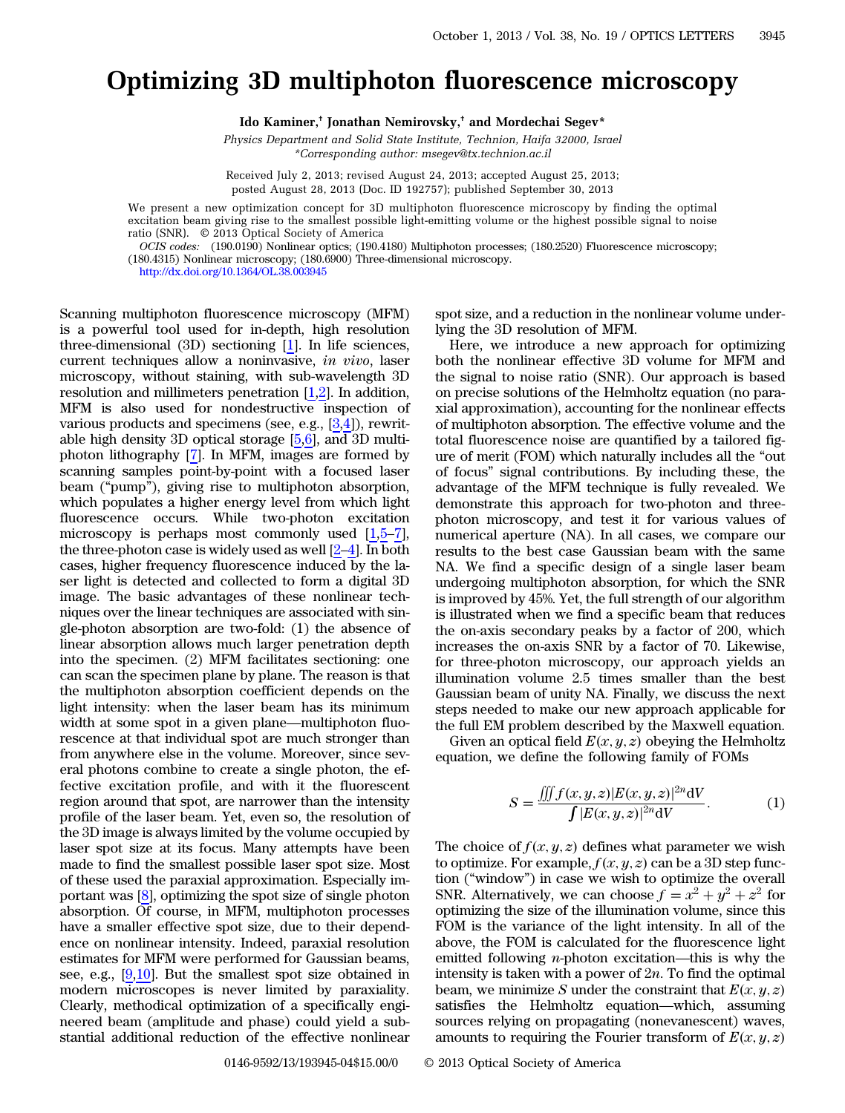## Optimizing 3D multiphoton fluorescence microscopy

Ido Kaminer,† Jonathan Nemirovsky,† and Mordechai Segev\*

Physics Department and Solid State Institute, Technion, Haifa 32000, Israel \*Corresponding author: msegev@tx.technion.ac.il

Received July 2, 2013; revised August 24, 2013; accepted August 25, 2013; posted August 28, 2013 (Doc. ID 192757); published September 30, 2013

We present a new optimization concept for 3D multiphoton fluorescence microscopy by finding the optimal excitation beam giving rise to the smallest possible light-emitting volume or the highest possible signal to noise ratio (SNR). © 2013 Optical Society of America

OCIS codes: (190.0190) Nonlinear optics; (190.4180) Multiphoton processes; (180.2520) Fluorescence microscopy;

(180.4315) Nonlinear microscopy; (180.6900) Three-dimensional microscopy.

<http://dx.doi.org/10.1364/OL.38.003945>

Scanning multiphoton fluorescence microscopy (MFM) is a powerful tool used for in-depth, high resolution three-dimensional (3D) sectioning [[1\]](#page-3-0). In life sciences, current techniques allow a noninvasive, in vivo, laser microscopy, without staining, with sub-wavelength 3D resolution and millimeters penetration  $[1,2]$  $[1,2]$  $[1,2]$  $[1,2]$ . In addition, MFM is also used for nondestructive inspection of various products and specimens (see, e.g., [[3](#page-3-2)[,4](#page-3-3)]), rewritable high density 3D optical storage [[5](#page-3-4)[,6](#page-3-5)], and 3D multiphoton lithography [[7\]](#page-3-6). In MFM, images are formed by scanning samples point-by-point with a focused laser beam ("pump"), giving rise to multiphoton absorption, which populates a higher energy level from which light fluorescence occurs. While two-photon excitation microscopy is perhaps most commonly used  $[1,5-7]$  $[1,5-7]$  $[1,5-7]$  $[1,5-7]$  $[1,5-7]$  $[1,5-7]$ , the three-photon case is widely used as well [[2](#page-3-1)–[4\]](#page-3-3). In both cases, higher frequency fluorescence induced by the laser light is detected and collected to form a digital 3D image. The basic advantages of these nonlinear techniques over the linear techniques are associated with single-photon absorption are two-fold: (1) the absence of linear absorption allows much larger penetration depth into the specimen. (2) MFM facilitates sectioning: one can scan the specimen plane by plane. The reason is that the multiphoton absorption coefficient depends on the light intensity: when the laser beam has its minimum width at some spot in a given plane—multiphoton fluorescence at that individual spot are much stronger than from anywhere else in the volume. Moreover, since several photons combine to create a single photon, the effective excitation profile, and with it the fluorescent region around that spot, are narrower than the intensity profile of the laser beam. Yet, even so, the resolution of the 3D image is always limited by the volume occupied by laser spot size at its focus. Many attempts have been made to find the smallest possible laser spot size. Most of these used the paraxial approximation. Especially important was [\[8\]](#page-3-7), optimizing the spot size of single photon absorption. Of course, in MFM, multiphoton processes have a smaller effective spot size, due to their dependence on nonlinear intensity. Indeed, paraxial resolution estimates for MFM were performed for Gaussian beams, see, e.g., [\[9](#page-3-8),[10\]](#page-3-9). But the smallest spot size obtained in modern microscopes is never limited by paraxiality. Clearly, methodical optimization of a specifically engineered beam (amplitude and phase) could yield a substantial additional reduction of the effective nonlinear

spot size, and a reduction in the nonlinear volume underlying the 3D resolution of MFM.

Here, we introduce a new approach for optimizing both the nonlinear effective 3D volume for MFM and the signal to noise ratio (SNR). Our approach is based on precise solutions of the Helmholtz equation (no paraxial approximation), accounting for the nonlinear effects of multiphoton absorption. The effective volume and the total fluorescence noise are quantified by a tailored figure of merit (FOM) which naturally includes all the "out of focus" signal contributions. By including these, the advantage of the MFM technique is fully revealed. We demonstrate this approach for two-photon and threephoton microscopy, and test it for various values of numerical aperture (NA). In all cases, we compare our results to the best case Gaussian beam with the same NA. We find a specific design of a single laser beam undergoing multiphoton absorption, for which the SNR is improved by 45%. Yet, the full strength of our algorithm is illustrated when we find a specific beam that reduces the on-axis secondary peaks by a factor of 200, which increases the on-axis SNR by a factor of 70. Likewise, for three-photon microscopy, our approach yields an illumination volume 2.5 times smaller than the best Gaussian beam of unity NA. Finally, we discuss the next steps needed to make our new approach applicable for the full EM problem described by the Maxwell equation.

<span id="page-0-0"></span>Given an optical field  $E(x, y, z)$  obeying the Helmholtz equation, we define the following family of FOMs

$$
S = \frac{\iiint f(x, y, z) |E(x, y, z)|^{2n} dV}{\int |E(x, y, z)|^{2n} dV}.
$$
 (1)

The choice of  $f(x, y, z)$  defines what parameter we wish to optimize. For example,  $f(x, y, z)$  can be a 3D step function ("window") in case we wish to optimize the overall SNR. Alternatively, we can choose  $f = x^2 + y^2 + z^2$  for optimizing the size of the illumination volume, since this FOM is the variance of the light intensity. In all of the above, the FOM is calculated for the fluorescence light emitted following  $n$ -photon excitation—this is why the intensity is taken with a power of  $2n$ . To find the optimal beam, we minimize S under the constraint that  $E(x, y, z)$ satisfies the Helmholtz equation—which, assuming sources relying on propagating (nonevanescent) waves, amounts to requiring the Fourier transform of  $E(x, y, z)$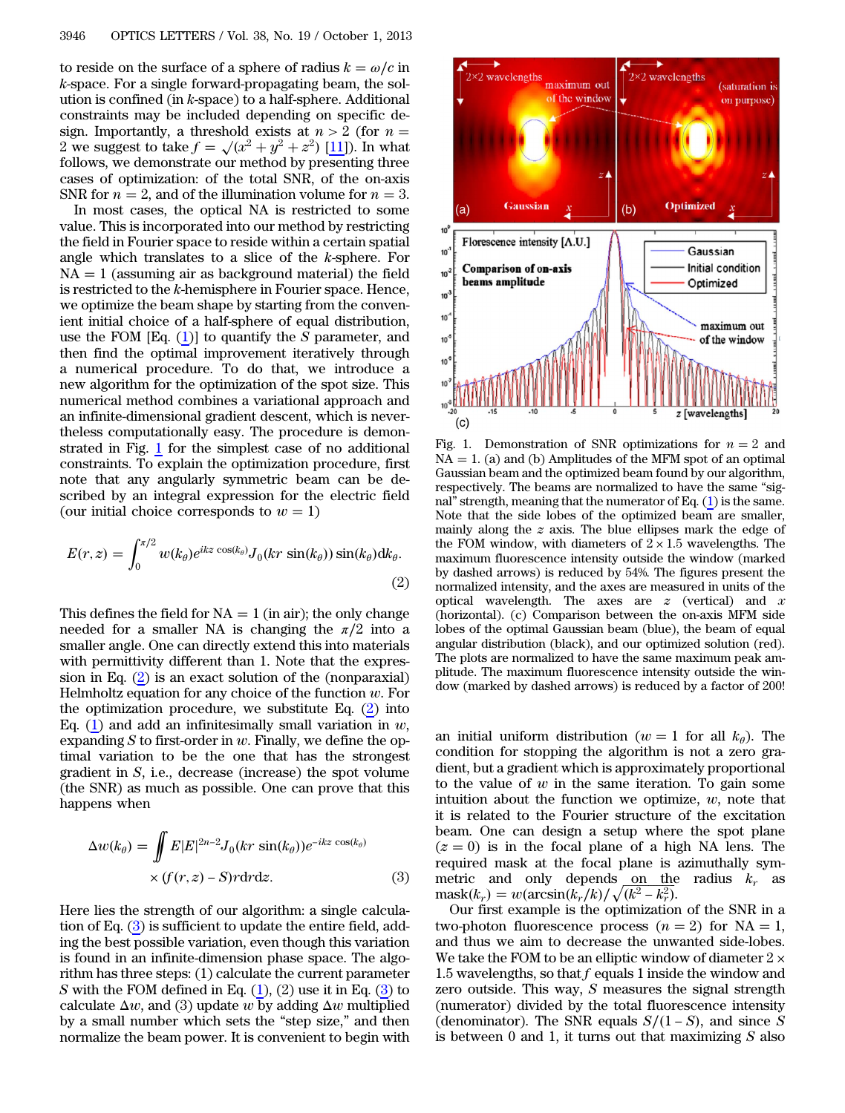to reside on the surface of a sphere of radius  $k = \omega/c$  in k-space. For a single forward-propagating beam, the solution is confined (in k-space) to a half-sphere. Additional constraints may be included depending on specific design. Importantly, a threshold exists at  $n > 2$  (for  $n =$ 2 we suggest to take  $f = \sqrt{x^2 + y^2 + z^2}$  [[11\]](#page-3-10)). In what follows, we demonstrate our method by presenting three cases of optimization: of the total SNR, of the on-axis SNR for  $n = 2$ , and of the illumination volume for  $n = 3$ .

In most cases, the optical NA is restricted to some value. This is incorporated into our method by restricting the field in Fourier space to reside within a certain spatial angle which translates to a slice of the k-sphere. For  $NA = 1$  (assuming air as background material) the field is restricted to the k-hemisphere in Fourier space. Hence, we optimize the beam shape by starting from the convenient initial choice of a half-sphere of equal distribution, use the FOM  $[Eq. (1)]$  $[Eq. (1)]$  $[Eq. (1)]$  to quantify the S parameter, and then find the optimal improvement iteratively through a numerical procedure. To do that, we introduce a new algorithm for the optimization of the spot size. This numerical method combines a variational approach and an infinite-dimensional gradient descent, which is nevertheless computationally easy. The procedure is demonstrated in Fig. [1](#page-1-0) for the simplest case of no additional constraints. To explain the optimization procedure, first note that any angularly symmetric beam can be described by an integral expression for the electric field (our initial choice corresponds to  $w = 1$ )

<span id="page-1-1"></span>
$$
E(r,z) = \int_0^{\pi/2} w(k_\theta) e^{ikz \cos(k_\theta)} J_0(kr \sin(k_\theta)) \sin(k_\theta) dk_\theta.
$$
\n(2)

This defines the field for  $NA = 1$  (in air); the only change needed for a smaller NA is changing the  $\pi/2$  into a smaller angle. One can directly extend this into materials with permittivity different than 1. Note that the expression in Eq. ([2\)](#page-1-1) is an exact solution of the (nonparaxial) Helmholtz equation for any choice of the function  $w$ . For the optimization procedure, we substitute Eq. ([2\)](#page-1-1) into Eq. ([1\)](#page-0-0) and add an infinitesimally small variation in  $w$ , expanding  $S$  to first-order in  $w$ . Finally, we define the optimal variation to be the one that has the strongest gradient in  $S$ , i.e., decrease (increase) the spot volume (the SNR) as much as possible. One can prove that this happens when

<span id="page-1-2"></span>hens when  
\n
$$
\Delta w(k_{\theta}) = \iint E|E|^{2n-2} J_0(kr\sin(k_{\theta}))e^{-ikz\cos(k_{\theta})}
$$
\n
$$
\times (f(r,z) - S)r \, dr \, dz. \tag{3}
$$

Here lies the strength of our algorithm: a single calculation of Eq. [\(3](#page-1-2)) is sufficient to update the entire field, adding the best possible variation, even though this variation is found in an infinite-dimension phase space. The algorithm has three steps: (1) calculate the current parameter S with the FOM defined in Eq.  $(1)$  $(1)$ ,  $(2)$  use it in Eq.  $(3)$  $(3)$  to calculate  $\Delta w$ , and (3) update w by adding  $\Delta w$  multiplied by a small number which sets the "step size," and then normalize the beam power. It is convenient to begin with

<span id="page-1-0"></span>

Fig. 1. Demonstration of SNR optimizations for  $n = 2$  and  $NA = 1$ . (a) and (b) Amplitudes of the MFM spot of an optimal Gaussian beam and the optimized beam found by our algorithm, respectively. The beams are normalized to have the same "signal" strength, meaning that the numerator of Eq. [\(1\)](#page-0-0) is the same. Note that the side lobes of the optimized beam are smaller, mainly along the  $z$  axis. The blue ellipses mark the edge of the FOM window, with diameters of  $2 \times 1.5$  wavelengths. The maximum fluorescence intensity outside the window (marked by dashed arrows) is reduced by 54%. The figures present the normalized intensity, and the axes are measured in units of the optical wavelength. The axes are  $z$  (vertical) and  $x$ (horizontal). (c) Comparison between the on-axis MFM side lobes of the optimal Gaussian beam (blue), the beam of equal angular distribution (black), and our optimized solution (red). The plots are normalized to have the same maximum peak amplitude. The maximum fluorescence intensity outside the window (marked by dashed arrows) is reduced by a factor of 200!

an initial uniform distribution ( $w = 1$  for all  $k_{\theta}$ ). The condition for stopping the algorithm is not a zero gradient, but a gradient which is approximately proportional to the value of  $w$  in the same iteration. To gain some intuition about the function we optimize,  $w$ , note that it is related to the Fourier structure of the excitation beam. One can design a setup where the spot plane ( $z = 0$ ) is in the focal plane of a high NA lens. The<br>required mask at the focal plane is azimuthally sym-<br>metric and only depends on the radius  $k_r$  as<br>mask( $k_r$ ) = w(arcsin( $k_r/k$ )/ $\sqrt{k^2 - k_r^2}$ ). required mask at the focal plane is azimuthally symmetric and only depends on the radius  $k_r$  as  $\text{mask}(k_r) = w(\arcsin(k_r/k)/\sqrt{(k^2 - k_r^2)}).$ 

Our first example is the optimization of the SNR in a two-photon fluorescence process  $(n = 2)$  for NA = 1, and thus we aim to decrease the unwanted side-lobes. We take the FOM to be an elliptic window of diameter  $2 \times$ 1.5 wavelengths, so that f equals 1 inside the window and zero outside. This way, S measures the signal strength (numerator) divided by the total fluorescence intensity (denominator). The SNR equals 1 inside the SNR equals S⁄1 of SNR equals S⁄1 − S-S-S(denominator). The SNR equals  $S/(1-S)$ (denominator). The SNR equals  $S/(1-S)$ , and since S is between 0 and 1, it turns out that maximizing  $S$  also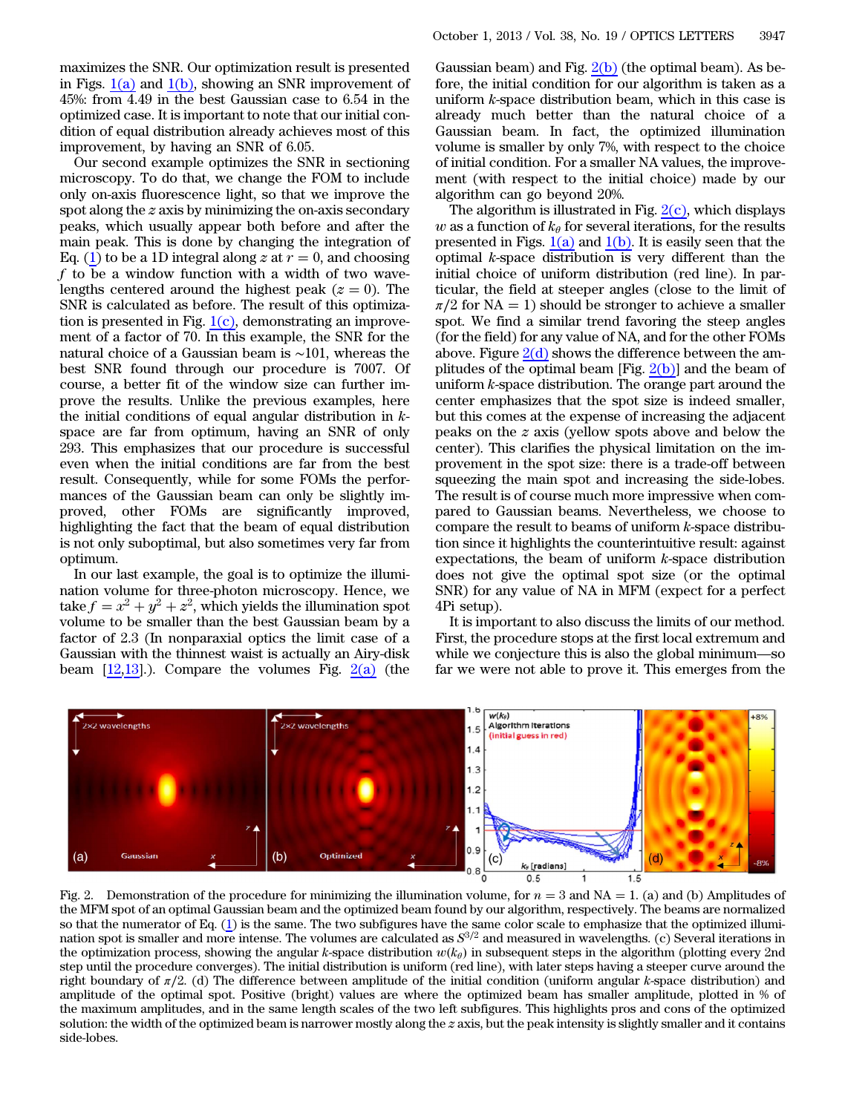maximizes the SNR. Our optimization result is presented in Figs. [1\(a\)](#page-1-0) and [1\(b\)](#page-1-0), showing an SNR improvement of 45%: from 4.49 in the best Gaussian case to 6.54 in the optimized case. It is important to note that our initial condition of equal distribution already achieves most of this improvement, by having an SNR of 6.05.

Our second example optimizes the SNR in sectioning microscopy. To do that, we change the FOM to include only on-axis fluorescence light, so that we improve the spot along the z axis by minimizing the on-axis secondary peaks, which usually appear both before and after the main peak. This is done by changing the integration of Eq. ([1\)](#page-0-0) to be a 1D integral along z at  $r = 0$ , and choosing  $f$  to be a window function with a width of two wavelengths centered around the highest peak ( $z = 0$ ). The SNR is calculated as before. The result of this optimization is presented in Fig.  $1(c)$ , demonstrating an improvement of a factor of 70. In this example, the SNR for the natural choice of a Gaussian beam is ∼101, whereas the best SNR found through our procedure is 7007. Of course, a better fit of the window size can further improve the results. Unlike the previous examples, here the initial conditions of equal angular distribution in kspace are far from optimum, having an SNR of only 293. This emphasizes that our procedure is successful even when the initial conditions are far from the best result. Consequently, while for some FOMs the performances of the Gaussian beam can only be slightly improved, other FOMs are significantly improved, highlighting the fact that the beam of equal distribution is not only suboptimal, but also sometimes very far from optimum.

In our last example, the goal is to optimize the illumination volume for three-photon microscopy. Hence, we take  $f = x^2 + y^2 + z^2$ , which yields the illumination spot volume to be smaller than the best Gaussian beam by a factor of 2.3 (In nonparaxial optics the limit case of a Gaussian with the thinnest waist is actually an Airy-disk beam  $[12,13]$  $[12,13]$  $[12,13]$ .). Compare the volumes Fig.  $2(a)$  (the

Gaussian beam) and Fig.  $2(b)$  (the optimal beam). As before, the initial condition for our algorithm is taken as a uniform k-space distribution beam, which in this case is already much better than the natural choice of a Gaussian beam. In fact, the optimized illumination volume is smaller by only 7%, with respect to the choice of initial condition. For a smaller NA values, the improvement (with respect to the initial choice) made by our algorithm can go beyond 20%.

The algorithm is illustrated in Fig.  $2(c)$ , which displays w as a function of  $k_{\theta}$  for several iterations, for the results presented in Figs.  $1(a)$  and  $1(b)$ . It is easily seen that the optimal  $k$ -space distribution is very different than the initial choice of uniform distribution (red line). In particular, the field at steeper angles (close to the limit of  $\pi/2$  for NA = 1) should be stronger to achieve a smaller spot. We find a similar trend favoring the steep angles (for the field) for any value of NA, and for the other FOMs above. Figure  $2(d)$  shows the difference between the amplitudes of the optimal beam [Fig.  $2(b)$ ] and the beam of uniform k-space distribution. The orange part around the center emphasizes that the spot size is indeed smaller, but this comes at the expense of increasing the adjacent peaks on the z axis (yellow spots above and below the center). This clarifies the physical limitation on the improvement in the spot size: there is a trade-off between squeezing the main spot and increasing the side-lobes. The result is of course much more impressive when compared to Gaussian beams. Nevertheless, we choose to compare the result to beams of uniform k-space distribution since it highlights the counterintuitive result: against expectations, the beam of uniform k-space distribution does not give the optimal spot size (or the optimal SNR) for any value of NA in MFM (expect for a perfect 4Pi setup).

It is important to also discuss the limits of our method. First, the procedure stops at the first local extremum and while we conjecture this is also the global minimum—so far we were not able to prove it. This emerges from the

<span id="page-2-0"></span>

Fig. 2. Demonstration of the procedure for minimizing the illumination volume, for  $n = 3$  and NA = 1. (a) and (b) Amplitudes of the MFM spot of an optimal Gaussian beam and the optimized beam found by our algorithm, respectively. The beams are normalized so that the numerator of Eq. ([1](#page-0-0)) is the same. The two subfigures have the same color scale to emphasize that the optimized illumination spot is smaller and more intense. The volumes are calculated as  $S^{3/2}$  and measured in wavelengths. (c) Several iterations in the optimization process, showing the angular k-space distribution  $w(k_\theta)$  in subsequent steps in the algorithm (plotting every 2nd step until the procedure converges). The initial distribution is uniform (red line), with later steps having a steeper curve around the right boundary of  $\pi/2$ . (d) The difference between amplitude of the initial condition (uniform angular k-space distribution) and amplitude of the optimal spot. Positive (bright) values are where the optimized beam has smaller amplitude, plotted in % of the maximum amplitudes, and in the same length scales of the two left subfigures. This highlights pros and cons of the optimized solution: the width of the optimized beam is narrower mostly along the  $z$  axis, but the peak intensity is slightly smaller and it contains side-lobes.